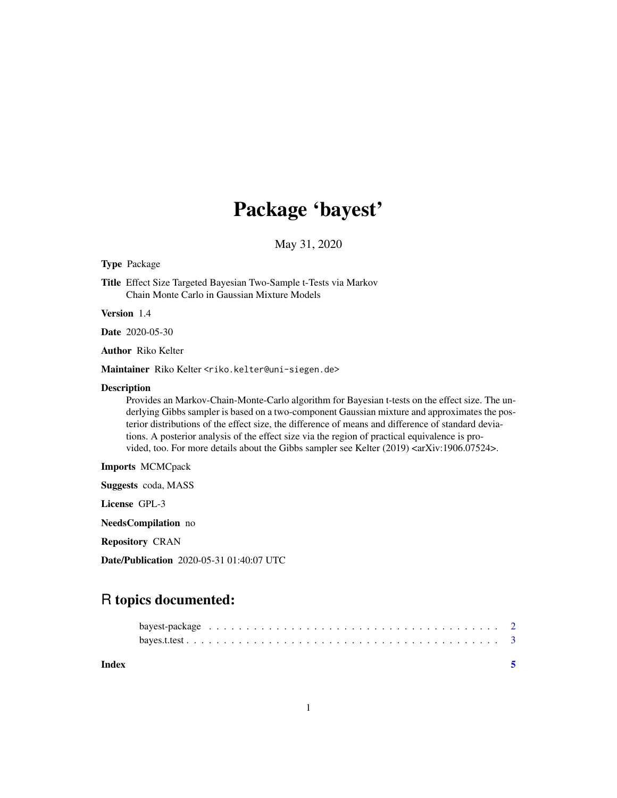## Package 'bayest'

May 31, 2020

#### Type Package

Title Effect Size Targeted Bayesian Two-Sample t-Tests via Markov Chain Monte Carlo in Gaussian Mixture Models

Version 1.4

Date 2020-05-30

Author Riko Kelter

Maintainer Riko Kelter <riko.kelter@uni-siegen.de>

#### Description

Provides an Markov-Chain-Monte-Carlo algorithm for Bayesian t-tests on the effect size. The underlying Gibbs sampler is based on a two-component Gaussian mixture and approximates the posterior distributions of the effect size, the difference of means and difference of standard deviations. A posterior analysis of the effect size via the region of practical equivalence is provided, too. For more details about the Gibbs sampler see Kelter (2019) <arXiv:1906.07524>.

Imports MCMCpack

Suggests coda, MASS

License GPL-3

NeedsCompilation no

Repository CRAN

Date/Publication 2020-05-31 01:40:07 UTC

### R topics documented:

| Index |  |  |
|-------|--|--|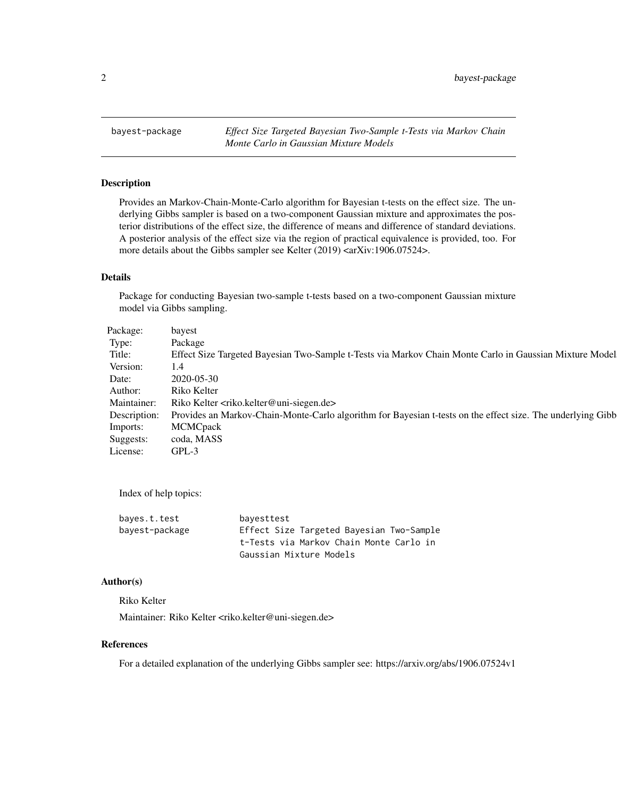<span id="page-1-0"></span>bayest-package *Effect Size Targeted Bayesian Two-Sample t-Tests via Markov Chain Monte Carlo in Gaussian Mixture Models*

#### Description

Provides an Markov-Chain-Monte-Carlo algorithm for Bayesian t-tests on the effect size. The underlying Gibbs sampler is based on a two-component Gaussian mixture and approximates the posterior distributions of the effect size, the difference of means and difference of standard deviations. A posterior analysis of the effect size via the region of practical equivalence is provided, too. For more details about the Gibbs sampler see Kelter (2019) <arXiv:1906.07524>.

#### Details

Package for conducting Bayesian two-sample t-tests based on a two-component Gaussian mixture model via Gibbs sampling.

| Package:       | bayest                                                                                                                   |
|----------------|--------------------------------------------------------------------------------------------------------------------------|
| Type:          | Package                                                                                                                  |
| Title:         | Effect Size Targeted Bayesian Two-Sample t-Tests via Markov Chain Monte Carlo in Gaussian Mixture Model                  |
| Version:       | 1.4                                                                                                                      |
| Date:          | 2020-05-30                                                                                                               |
| Author:        | Riko Kelter                                                                                                              |
|                | Maintainer: Riko Kelter <riko.kelter@uni-siegen.de></riko.kelter@uni-siegen.de>                                          |
|                | Description: Provides an Markov-Chain-Monte-Carlo algorithm for Bayesian t-tests on the effect size. The underlying Gibb |
|                | Imports: MCMCpack                                                                                                        |
|                | Suggests: coda, MASS                                                                                                     |
| License: GPL-3 |                                                                                                                          |

Index of help topics:

| bayes.t.test   | bayesttest                               |
|----------------|------------------------------------------|
| bayest-package | Effect Size Targeted Bayesian Two-Sample |
|                | t-Tests via Markov Chain Monte Carlo in  |
|                | Gaussian Mixture Models                  |

#### Author(s)

Riko Kelter

Maintainer: Riko Kelter <riko.kelter@uni-siegen.de>

#### References

For a detailed explanation of the underlying Gibbs sampler see: https://arxiv.org/abs/1906.07524v1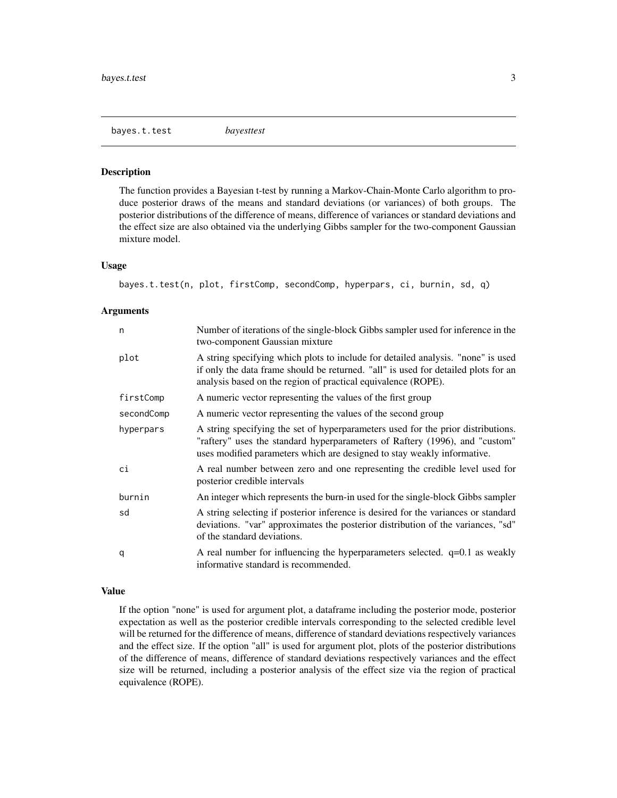<span id="page-2-0"></span>bayes.t.test *bayesttest*

#### Description

The function provides a Bayesian t-test by running a Markov-Chain-Monte Carlo algorithm to produce posterior draws of the means and standard deviations (or variances) of both groups. The posterior distributions of the difference of means, difference of variances or standard deviations and the effect size are also obtained via the underlying Gibbs sampler for the two-component Gaussian mixture model.

#### Usage

bayes.t.test(n, plot, firstComp, secondComp, hyperpars, ci, burnin, sd, q)

#### Arguments

| n          | Number of iterations of the single-block Gibbs sampler used for inference in the<br>two-component Gaussian mixture                                                                                                                         |
|------------|--------------------------------------------------------------------------------------------------------------------------------------------------------------------------------------------------------------------------------------------|
| plot       | A string specifying which plots to include for detailed analysis. "none" is used<br>if only the data frame should be returned. "all" is used for detailed plots for an<br>analysis based on the region of practical equivalence (ROPE).    |
| firstComp  | A numeric vector representing the values of the first group                                                                                                                                                                                |
| secondComp | A numeric vector representing the values of the second group                                                                                                                                                                               |
| hyperpars  | A string specifying the set of hyperparameters used for the prior distributions.<br>"raftery" uses the standard hyperparameters of Raftery (1996), and "custom"<br>uses modified parameters which are designed to stay weakly informative. |
| сi         | A real number between zero and one representing the credible level used for<br>posterior credible intervals                                                                                                                                |
| burnin     | An integer which represents the burn-in used for the single-block Gibbs sampler                                                                                                                                                            |
| sd         | A string selecting if posterior inference is desired for the variances or standard<br>deviations. "var" approximates the posterior distribution of the variances, "sd"<br>of the standard deviations.                                      |
| q          | A real number for influencing the hyperparameters selected. $q=0.1$ as weakly<br>informative standard is recommended.                                                                                                                      |

#### Value

If the option "none" is used for argument plot, a dataframe including the posterior mode, posterior expectation as well as the posterior credible intervals corresponding to the selected credible level will be returned for the difference of means, difference of standard deviations respectively variances and the effect size. If the option "all" is used for argument plot, plots of the posterior distributions of the difference of means, difference of standard deviations respectively variances and the effect size will be returned, including a posterior analysis of the effect size via the region of practical equivalence (ROPE).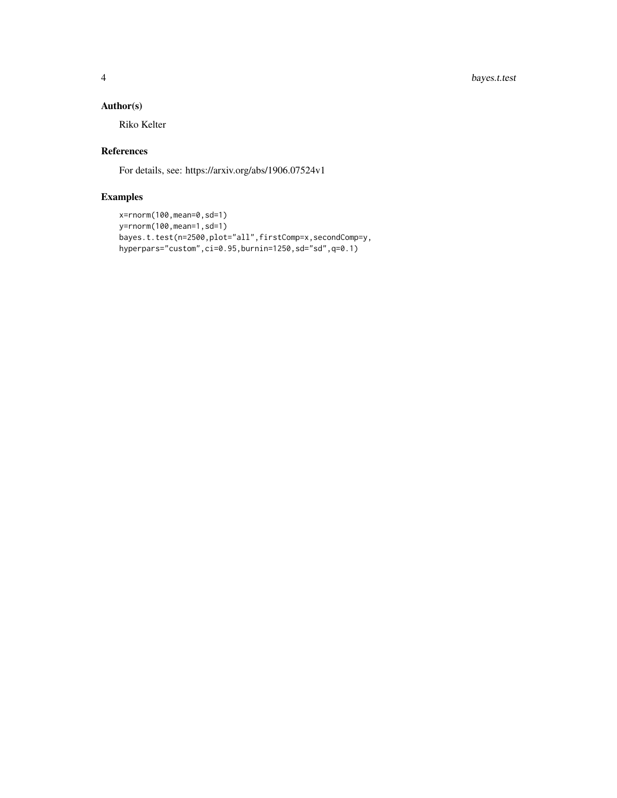4 bayes.t.test

#### Author(s)

Riko Kelter

#### References

For details, see: https://arxiv.org/abs/1906.07524v1

#### Examples

```
x=rnorm(100,mean=0,sd=1)
y=rnorm(100,mean=1,sd=1)
bayes.t.test(n=2500,plot="all",firstComp=x,secondComp=y,
hyperpars="custom",ci=0.95,burnin=1250,sd="sd",q=0.1)
```